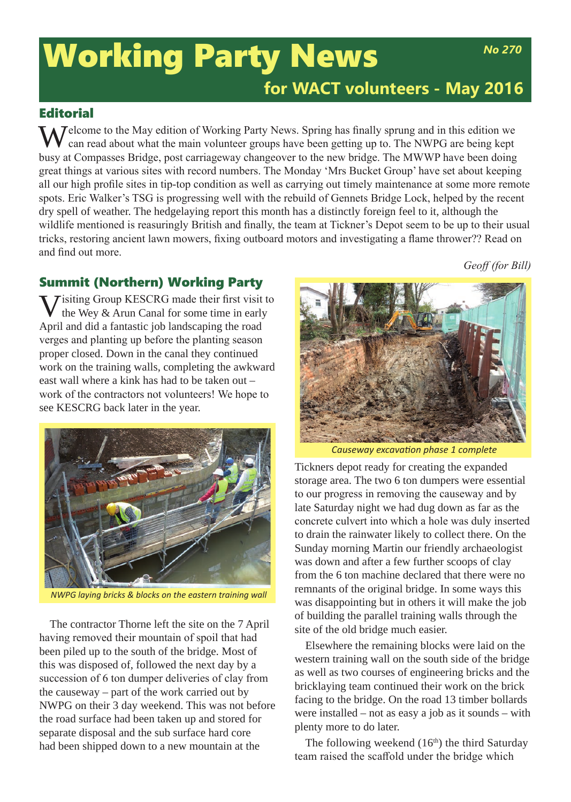# **Working Party News** Mo<sub>270</sub> **for WACT volunteers - May 2016**

## **Editorial**

 $\sum$  Jelcome to the May edition of Working Party News. Spring has finally sprung and in this edition we can read about what the main volunteer groups have been getting up to. The NWPG are being kept busy at Compasses Bridge, post carriageway changeover to the new bridge. The MWWP have been doing great things at various sites with record numbers. The Monday 'Mrs Bucket Group' have set about keeping all our high profile sites in tip-top condition as well as carrying out timely maintenance at some more remote spots. Eric Walker's TSG is progressing well with the rebuild of Gennets Bridge Lock, helped by the recent dry spell of weather. The hedgelaying report this month has a distinctly foreign feel to it, although the wildlife mentioned is reasuringly British and finally, the team at Tickner's Depot seem to be up to their usual tricks, restoring ancient lawn mowers, fixing outboard motors and investigating a flame thrower?? Read on and find out more.

*Geoff (for Bill)*

## Summit (Northern) Working Party

**Tisiting Group KESCRG made their first visit to** the Wey & Arun Canal for some time in early April and did a fantastic job landscaping the road verges and planting up before the planting season proper closed. Down in the canal they continued work on the training walls, completing the awkward east wall where a kink has had to be taken out – work of the contractors not volunteers! We hope to see KESCRG back later in the year.



*NWPG laying bricks & blocks on the eastern training wall*

The contractor Thorne left the site on the 7 April having removed their mountain of spoil that had been piled up to the south of the bridge. Most of this was disposed of, followed the next day by a succession of 6 ton dumper deliveries of clay from the causeway – part of the work carried out by NWPG on their 3 day weekend. This was not before the road surface had been taken up and stored for separate disposal and the sub surface hard core had been shipped down to a new mountain at the



*Causeway excavation phase 1 complete*

Tickners depot ready for creating the expanded storage area. The two 6 ton dumpers were essential to our progress in removing the causeway and by late Saturday night we had dug down as far as the concrete culvert into which a hole was duly inserted to drain the rainwater likely to collect there. On the Sunday morning Martin our friendly archaeologist was down and after a few further scoops of clay from the 6 ton machine declared that there were no remnants of the original bridge. In some ways this was disappointing but in others it will make the job of building the parallel training walls through the site of the old bridge much easier.

Elsewhere the remaining blocks were laid on the western training wall on the south side of the bridge as well as two courses of engineering bricks and the bricklaying team continued their work on the brick facing to the bridge. On the road 13 timber bollards were installed – not as easy a job as it sounds – with plenty more to do later.

The following weekend  $(16<sup>th</sup>)$  the third Saturday team raised the scaffold under the bridge which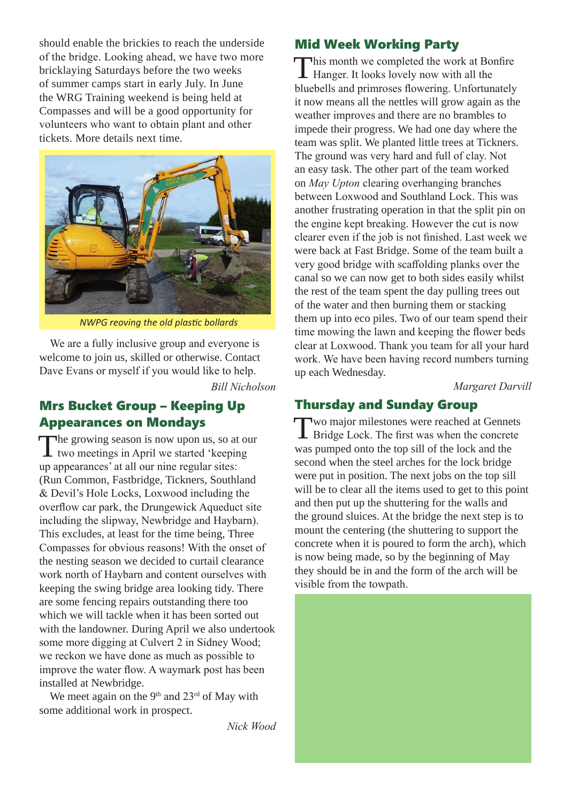should enable the brickies to reach the underside of the bridge. Looking ahead, we have two more bricklaying Saturdays before the two weeks of summer camps start in early July. In June the WRG Training weekend is being held at Compasses and will be a good opportunity for volunteers who want to obtain plant and other tickets. More details next time.



*NWPG reoving the old plastic bollards*

We are a fully inclusive group and everyone is welcome to join us, skilled or otherwise. Contact Dave Evans or myself if you would like to help.

*Bill Nicholson*

#### Mrs Bucket Group – Keeping Up Appearances on Mondays

The growing season is now upon us, so at our<br>two meetings in April we started 'keeping up appearances' at all our nine regular sites: (Run Common, Fastbridge, Tickners, Southland & Devil's Hole Locks, Loxwood including the overflow car park, the Drungewick Aqueduct site including the slipway, Newbridge and Haybarn). This excludes, at least for the time being, Three Compasses for obvious reasons! With the onset of the nesting season we decided to curtail clearance work north of Haybarn and content ourselves with keeping the swing bridge area looking tidy. There are some fencing repairs outstanding there too which we will tackle when it has been sorted out with the landowner. During April we also undertook some more digging at Culvert 2 in Sidney Wood; we reckon we have done as much as possible to improve the water flow. A waymark post has been installed at Newbridge.

We meet again on the 9<sup>th</sup> and 23<sup>rd</sup> of May with some additional work in prospect.

*Nick Wood* 

#### Mid Week Working Party

This month we completed the work at Bonfire Hanger. It looks lovely now with all the bluebells and primroses flowering. Unfortunately it now means all the nettles will grow again as the weather improves and there are no brambles to impede their progress. We had one day where the team was split. We planted little trees at Tickners. The ground was very hard and full of clay. Not an easy task. The other part of the team worked on *May Upton* clearing overhanging branches between Loxwood and Southland Lock. This was another frustrating operation in that the split pin on the engine kept breaking. However the cut is now clearer even if the job is not finished. Last week we were back at Fast Bridge. Some of the team built a very good bridge with scaffolding planks over the canal so we can now get to both sides easily whilst the rest of the team spent the day pulling trees out of the water and then burning them or stacking them up into eco piles. Two of our team spend their time mowing the lawn and keeping the flower beds clear at Loxwood. Thank you team for all your hard work. We have been having record numbers turning up each Wednesday.

*Margaret Darvill*

## Thursday and Sunday Group

Two major milestones were reached at Gennets Bridge Lock. The first was when the concrete was pumped onto the top sill of the lock and the second when the steel arches for the lock bridge were put in position. The next jobs on the top sill will be to clear all the items used to get to this point and then put up the shuttering for the walls and the ground sluices. At the bridge the next step is to mount the centering (the shuttering to support the concrete when it is poured to form the arch), which is now being made, so by the beginning of May they should be in and the form of the arch will be visible from the towpath.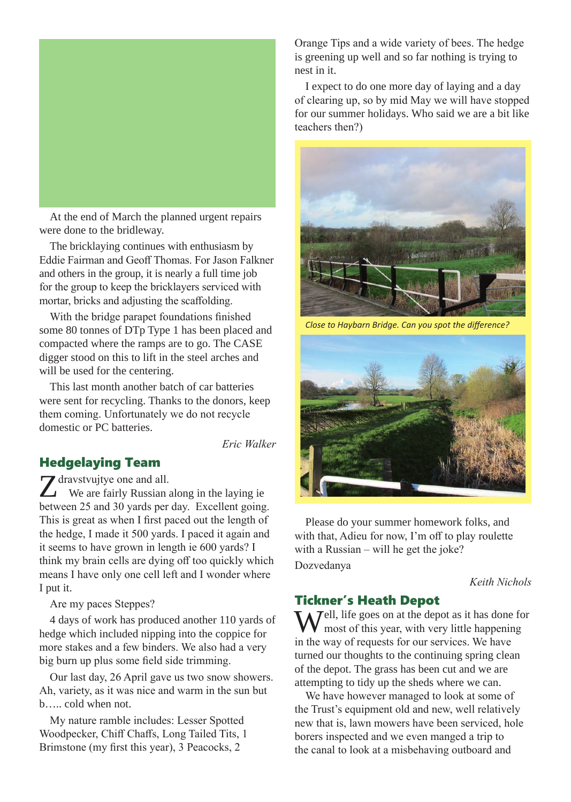

At the end of March the planned urgent repairs were done to the bridleway.

The bricklaying continues with enthusiasm by Eddie Fairman and Geoff Thomas. For Jason Falkner and others in the group, it is nearly a full time job for the group to keep the bricklayers serviced with mortar, bricks and adjusting the scaffolding.

With the bridge parapet foundations finished some 80 tonnes of DTp Type 1 has been placed and compacted where the ramps are to go. The CASE digger stood on this to lift in the steel arches and will be used for the centering.

This last month another batch of car batteries were sent for recycling. Thanks to the donors, keep them coming. Unfortunately we do not recycle domestic or PC batteries.

*Eric Walker*

### Hedgelaying Team

Z dravstvujtye one and all.<br>We are fairly Russian along in the laying ie between 25 and 30 yards per day. Excellent going. This is great as when I first paced out the length of the hedge, I made it 500 yards. I paced it again and it seems to have grown in length ie 600 yards? I think my brain cells are dying off too quickly which means I have only one cell left and I wonder where I put it.

Are my paces Steppes?

4 days of work has produced another 110 yards of hedge which included nipping into the coppice for more stakes and a few binders. We also had a very big burn up plus some field side trimming.

Our last day, 26 April gave us two snow showers. Ah, variety, as it was nice and warm in the sun but b….. cold when not.

My nature ramble includes: Lesser Spotted Woodpecker, Chiff Chaffs, Long Tailed Tits, 1 Brimstone (my first this year), 3 Peacocks, 2

Orange Tips and a wide variety of bees. The hedge is greening up well and so far nothing is trying to nest in it.

I expect to do one more day of laying and a day of clearing up, so by mid May we will have stopped for our summer holidays. Who said we are a bit like teachers then?)



*Close to Haybarn Bridge. Can you spot the difference?*



Please do your summer homework folks, and with that, Adieu for now, I'm off to play roulette with a Russian – will he get the joke? Dozvedanya

#### *Keith Nichols*

#### Tickner's Heath Depot

 $\sum$  *J*ell, life goes on at the depot as it has done for most of this year, with very little happening in the way of requests for our services. We have turned our thoughts to the continuing spring clean of the depot. The grass has been cut and we are attempting to tidy up the sheds where we can.

We have however managed to look at some of the Trust's equipment old and new, well relatively new that is, lawn mowers have been serviced, hole borers inspected and we even manged a trip to the canal to look at a misbehaving outboard and